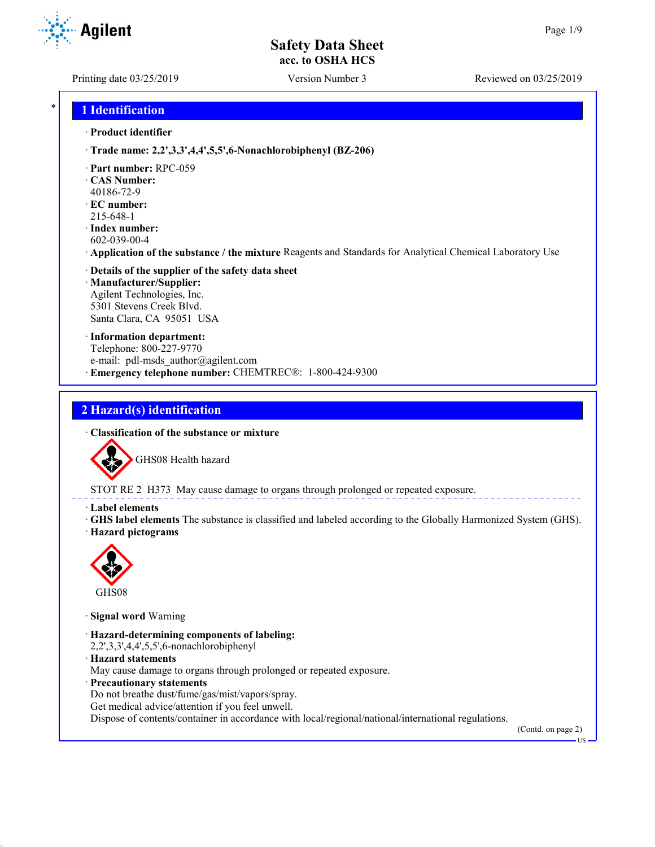Agilent

Printing date 03/25/2019 Version Number 3 Reviewed on 03/25/2019

## \* **1 Identification**

#### · **Product identifier**

- · **Trade name: 2,2',3,3',4,4',5,5',6-Nonachlorobiphenyl (BZ-206)**
- · **Part number:** RPC-059
- · **CAS Number:** 40186-72-9
- · **EC number:**
- 215-648-1
- · **Index number:** 602-039-00-4
- · **Application of the substance / the mixture** Reagents and Standards for Analytical Chemical Laboratory Use
- · **Details of the supplier of the safety data sheet** · **Manufacturer/Supplier:** Agilent Technologies, Inc. 5301 Stevens Creek Blvd. Santa Clara, CA 95051 USA
- · **Information department:** Telephone: 800-227-9770 e-mail: pdl-msds author@agilent.com · **Emergency telephone number:** CHEMTREC®: 1-800-424-9300

# **2 Hazard(s) identification**

· **Classification of the substance or mixture**



STOT RE 2 H373 May cause damage to organs through prolonged or repeated exposure.

#### · **Label elements**

· **GHS label elements** The substance is classified and labeled according to the Globally Harmonized System (GHS). · **Hazard pictograms**



· **Signal word** Warning

- · **Hazard-determining components of labeling:**
- 2,2',3,3',4,4',5,5',6-nonachlorobiphenyl
- · **Hazard statements**
- May cause damage to organs through prolonged or repeated exposure.
- · **Precautionary statements**
- Do not breathe dust/fume/gas/mist/vapors/spray.
- Get medical advice/attention if you feel unwell.

Dispose of contents/container in accordance with local/regional/national/international regulations.

(Contd. on page 2)

US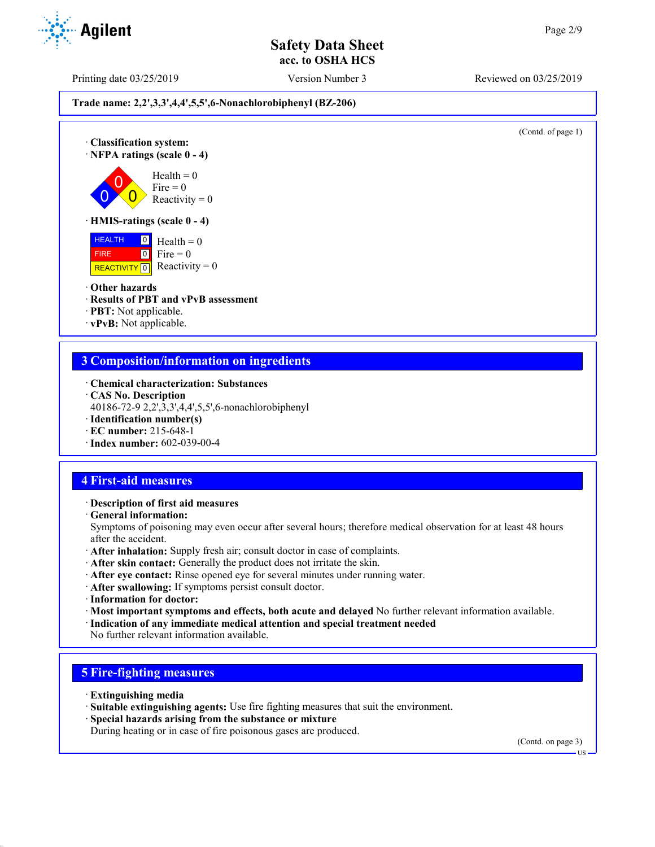Printing date 03/25/2019 Version Number 3 Reviewed on 03/25/2019

**Trade name: 2,2',3,3',4,4',5,5',6-Nonachlorobiphenyl (BZ-206)**

(Contd. of page 1)

· **Classification system:** · **NFPA ratings (scale 0 - 4)**  $\overline{0}$ 

 $\overline{0}$  $Health = 0$ Fire  $= 0$ 

Reactivity  $= 0$ 

# · **HMIS-ratings (scale 0 - 4)**

 HEALTH FIRE REACTIVITY  $\boxed{0}$  Reactivity = 0  $\overline{0}$  Health = 0  $0$  Fire = 0

· **Other hazards**

 $\overline{0}$ 

· **Results of PBT and vPvB assessment**

· **PBT:** Not applicable.

· **vPvB:** Not applicable.

## **3 Composition/information on ingredients**

- · **Chemical characterization: Substances**
- · **CAS No. Description**
- 40186-72-9 2,2',3,3',4,4',5,5',6-nonachlorobiphenyl
- · **Identification number(s)**
- · **EC number:** 215-648-1
- · **Index number:** 602-039-00-4

# **4 First-aid measures**

- · **Description of first aid measures**
- · **General information:**

Symptoms of poisoning may even occur after several hours; therefore medical observation for at least 48 hours after the accident.

- · **After inhalation:** Supply fresh air; consult doctor in case of complaints.
- · **After skin contact:** Generally the product does not irritate the skin.
- · **After eye contact:** Rinse opened eye for several minutes under running water.
- · **After swallowing:** If symptoms persist consult doctor.
- · **Information for doctor:**
- · **Most important symptoms and effects, both acute and delayed** No further relevant information available.
- · **Indication of any immediate medical attention and special treatment needed**
- No further relevant information available.

# **5 Fire-fighting measures**

- · **Extinguishing media**
- · **Suitable extinguishing agents:** Use fire fighting measures that suit the environment.
- · **Special hazards arising from the substance or mixture**
- During heating or in case of fire poisonous gases are produced.

(Contd. on page 3)

US

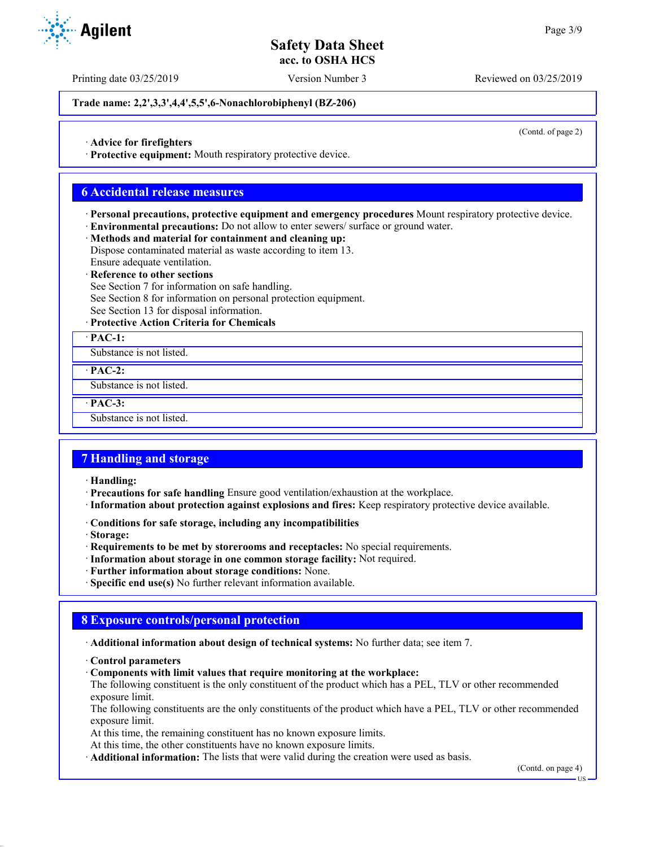Printing date 03/25/2019 Version Number 3 Reviewed on 03/25/2019

**Trade name: 2,2',3,3',4,4',5,5',6-Nonachlorobiphenyl (BZ-206)**

(Contd. of page 2)

· **Advice for firefighters**

· **Protective equipment:** Mouth respiratory protective device.

## **6 Accidental release measures**

· **Personal precautions, protective equipment and emergency procedures** Mount respiratory protective device.

· **Environmental precautions:** Do not allow to enter sewers/ surface or ground water.

· **Methods and material for containment and cleaning up:**

Dispose contaminated material as waste according to item 13.

Ensure adequate ventilation.

· **Reference to other sections**

See Section 7 for information on safe handling.

See Section 8 for information on personal protection equipment.

See Section 13 for disposal information.

· **Protective Action Criteria for Chemicals**

· **PAC-1:**

Substance is not listed.

· **PAC-2:**

Substance is not listed.

· **PAC-3:**

Substance is not listed.

## **7 Handling and storage**

· **Handling:**

· **Precautions for safe handling** Ensure good ventilation/exhaustion at the workplace.

- · **Information about protection against explosions and fires:** Keep respiratory protective device available.
- · **Conditions for safe storage, including any incompatibilities**

· **Storage:**

· **Requirements to be met by storerooms and receptacles:** No special requirements.

- · **Information about storage in one common storage facility:** Not required.
- · **Further information about storage conditions:** None.
- · **Specific end use(s)** No further relevant information available.

## **8 Exposure controls/personal protection**

· **Additional information about design of technical systems:** No further data; see item 7.

· **Control parameters**

· **Components with limit values that require monitoring at the workplace:**

The following constituent is the only constituent of the product which has a PEL, TLV or other recommended exposure limit.

The following constituents are the only constituents of the product which have a PEL, TLV or other recommended exposure limit.

At this time, the remaining constituent has no known exposure limits.

At this time, the other constituents have no known exposure limits.

· **Additional information:** The lists that were valid during the creation were used as basis.

(Contd. on page 4)



US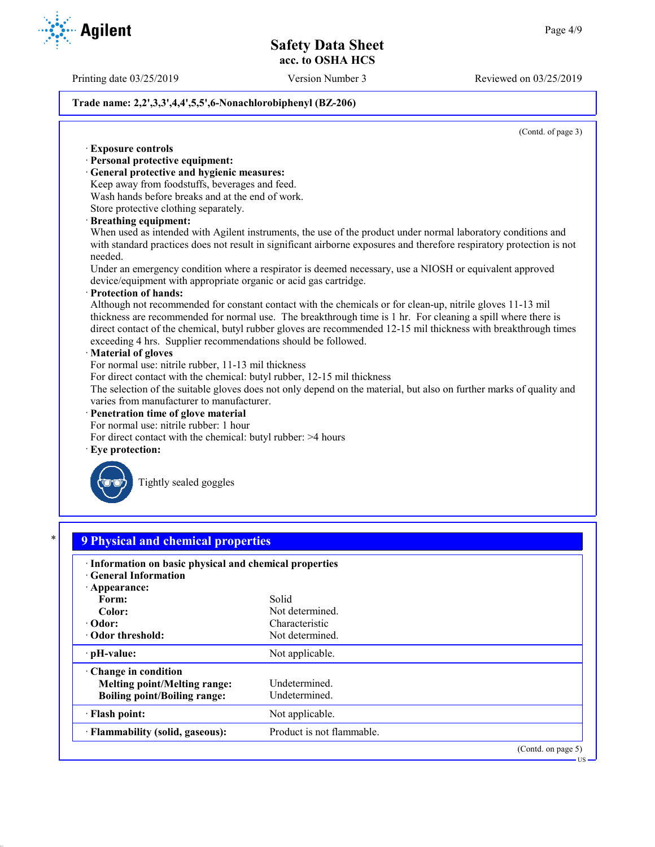Printing date 03/25/2019 Version Number 3 Reviewed on 03/25/2019

## **Trade name: 2,2',3,3',4,4',5,5',6-Nonachlorobiphenyl (BZ-206)**

(Contd. of page 3)

US

| · Personal protective equipment:<br>· General protective and hygienic measures:<br>Keep away from foodstuffs, beverages and feed. |                                                                                                                                                                                                                                                                                                                                               |
|-----------------------------------------------------------------------------------------------------------------------------------|-----------------------------------------------------------------------------------------------------------------------------------------------------------------------------------------------------------------------------------------------------------------------------------------------------------------------------------------------|
|                                                                                                                                   |                                                                                                                                                                                                                                                                                                                                               |
|                                                                                                                                   |                                                                                                                                                                                                                                                                                                                                               |
| Wash hands before breaks and at the end of work.                                                                                  |                                                                                                                                                                                                                                                                                                                                               |
| Store protective clothing separately.                                                                                             |                                                                                                                                                                                                                                                                                                                                               |
| · Breathing equipment:                                                                                                            | When used as intended with Agilent instruments, the use of the product under normal laboratory conditions and<br>with standard practices does not result in significant airborne exposures and therefore respiratory protection is not                                                                                                        |
| needed.<br>device/equipment with appropriate organic or acid gas cartridge.                                                       | Under an emergency condition where a respirator is deemed necessary, use a NIOSH or equivalent approved                                                                                                                                                                                                                                       |
| · Protection of hands:<br>exceeding 4 hrs. Supplier recommendations should be followed.<br>· Material of gloves                   | Although not recommended for constant contact with the chemicals or for clean-up, nitrile gloves 11-13 mil<br>thickness are recommended for normal use. The breakthrough time is 1 hr. For cleaning a spill where there is<br>direct contact of the chemical, butyl rubber gloves are recommended 12-15 mil thickness with breakthrough times |
| For normal use: nitrile rubber, 11-13 mil thickness<br>For direct contact with the chemical: butyl rubber, 12-15 mil thickness    | The selection of the suitable gloves does not only depend on the material, but also on further marks of quality and                                                                                                                                                                                                                           |
| varies from manufacturer to manufacturer.<br>· Penetration time of glove material                                                 |                                                                                                                                                                                                                                                                                                                                               |
| For normal use: nitrile rubber: 1 hour                                                                                            |                                                                                                                                                                                                                                                                                                                                               |
| For direct contact with the chemical: butyl rubber: >4 hours                                                                      |                                                                                                                                                                                                                                                                                                                                               |
| · Eye protection:                                                                                                                 |                                                                                                                                                                                                                                                                                                                                               |
| Tightly sealed goggles                                                                                                            |                                                                                                                                                                                                                                                                                                                                               |
|                                                                                                                                   |                                                                                                                                                                                                                                                                                                                                               |
| <b>9 Physical and chemical properties</b>                                                                                         |                                                                                                                                                                                                                                                                                                                                               |
| · Information on basic physical and chemical properties<br><b>General Information</b>                                             |                                                                                                                                                                                                                                                                                                                                               |
| · Appearance:                                                                                                                     |                                                                                                                                                                                                                                                                                                                                               |
| Form:                                                                                                                             | Solid                                                                                                                                                                                                                                                                                                                                         |
| Color:                                                                                                                            | Not determined.                                                                                                                                                                                                                                                                                                                               |
| Odor:                                                                                                                             | Characteristic                                                                                                                                                                                                                                                                                                                                |
| Odor threshold:                                                                                                                   | Not determined.                                                                                                                                                                                                                                                                                                                               |
| pH-value:                                                                                                                         | Not applicable.                                                                                                                                                                                                                                                                                                                               |
| Change in condition<br><b>Melting point/Melting range:</b><br><b>Boiling point/Boiling range:</b>                                 | Undetermined.<br>Undetermined.                                                                                                                                                                                                                                                                                                                |
|                                                                                                                                   |                                                                                                                                                                                                                                                                                                                                               |
| · Flash point:<br>· Flammability (solid, gaseous):                                                                                | Not applicable.<br>Product is not flammable.                                                                                                                                                                                                                                                                                                  |



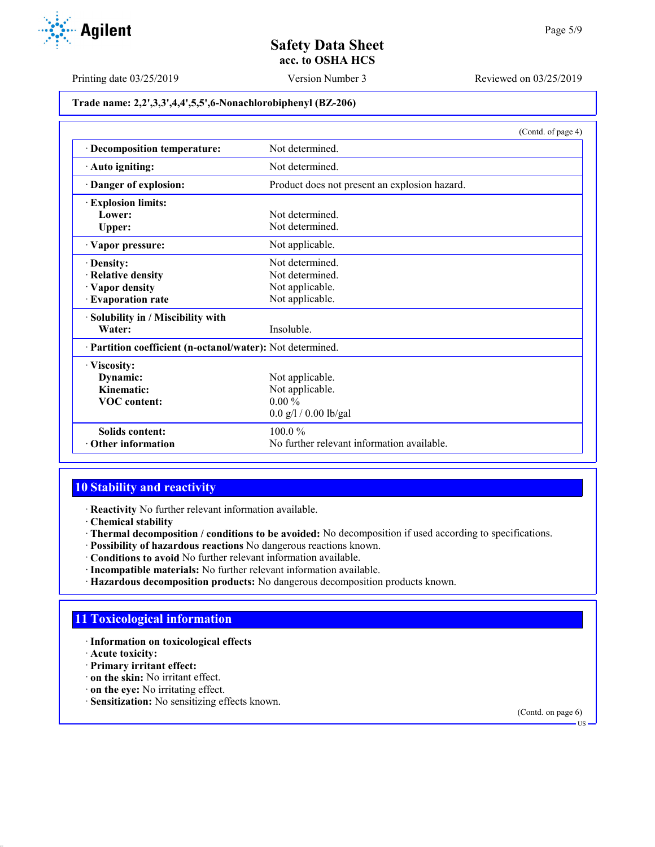

Printing date 03/25/2019 Version Number 3 Reviewed on 03/25/2019

**Trade name: 2,2',3,3',4,4',5,5',6-Nonachlorobiphenyl (BZ-206)**

|                                                            | (Contd. of page 4)                            |
|------------------------------------------------------------|-----------------------------------------------|
| · Decomposition temperature:                               | Not determined.                               |
| · Auto igniting:                                           | Not determined.                               |
| Danger of explosion:                                       | Product does not present an explosion hazard. |
| <b>Explosion limits:</b>                                   |                                               |
| Lower:                                                     | Not determined.                               |
| Upper:                                                     | Not determined.                               |
| · Vapor pressure:                                          | Not applicable.                               |
| · Density:                                                 | Not determined.                               |
| · Relative density                                         | Not determined.                               |
| · Vapor density                                            | Not applicable.                               |
| · Evaporation rate                                         | Not applicable.                               |
| · Solubility in / Miscibility with                         |                                               |
| Water:                                                     | Insoluble.                                    |
| · Partition coefficient (n-octanol/water): Not determined. |                                               |
| · Viscosity:                                               |                                               |
| Dynamic:                                                   | Not applicable.                               |
| Kinematic:                                                 | Not applicable.                               |
| <b>VOC</b> content:                                        | $0.00\%$                                      |
|                                                            | $0.0$ g/l / 0.00 lb/gal                       |
| <b>Solids content:</b>                                     | $100.0\%$                                     |
| Other information                                          | No further relevant information available.    |

# **10 Stability and reactivity**

· **Reactivity** No further relevant information available.

- · **Chemical stability**
- · **Thermal decomposition / conditions to be avoided:** No decomposition if used according to specifications.
- · **Possibility of hazardous reactions** No dangerous reactions known.
- · **Conditions to avoid** No further relevant information available.
- · **Incompatible materials:** No further relevant information available.
- · **Hazardous decomposition products:** No dangerous decomposition products known.

# **11 Toxicological information**

- · **Information on toxicological effects**
- · **Acute toxicity:**
- · **Primary irritant effect:**
- · **on the skin:** No irritant effect.
- · **on the eye:** No irritating effect.
- · **Sensitization:** No sensitizing effects known.

(Contd. on page 6) US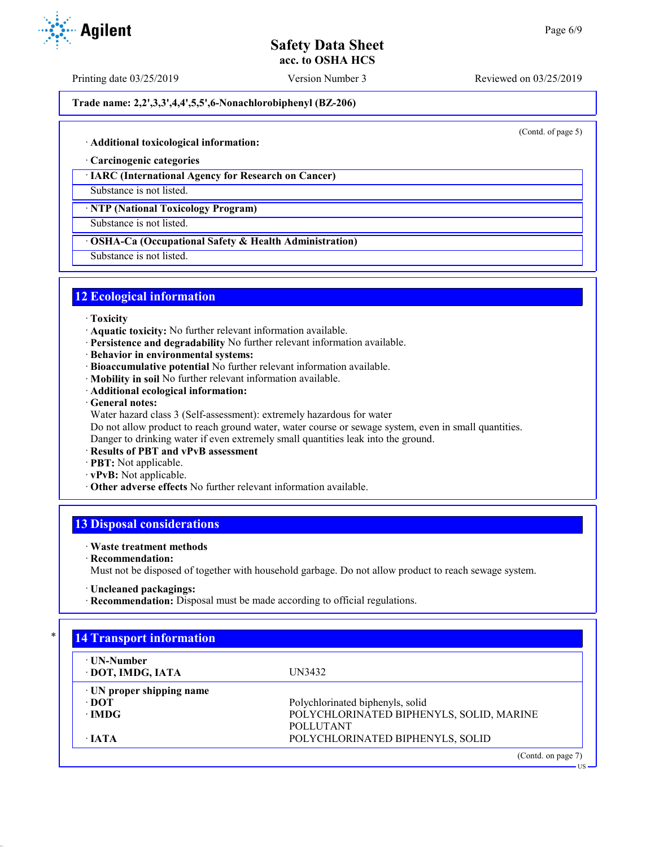Printing date 03/25/2019 Version Number 3 Reviewed on 03/25/2019

**Trade name: 2,2',3,3',4,4',5,5',6-Nonachlorobiphenyl (BZ-206)**

(Contd. of page 5)

US

#### · **Additional toxicological information:**

· **Carcinogenic categories**

### · **IARC (International Agency for Research on Cancer)**

Substance is not listed.

· **NTP (National Toxicology Program)**

Substance is not listed.

#### · **OSHA-Ca (Occupational Safety & Health Administration)**

Substance is not listed.

## **12 Ecological information**

- · **Toxicity**
- · **Aquatic toxicity:** No further relevant information available.
- · **Persistence and degradability** No further relevant information available.
- · **Behavior in environmental systems:**
- · **Bioaccumulative potential** No further relevant information available.
- · **Mobility in soil** No further relevant information available.
- · **Additional ecological information:**
- · **General notes:**
- Water hazard class 3 (Self-assessment): extremely hazardous for water

Do not allow product to reach ground water, water course or sewage system, even in small quantities.

Danger to drinking water if even extremely small quantities leak into the ground.

- · **Results of PBT and vPvB assessment**
- · **PBT:** Not applicable.
- · **vPvB:** Not applicable.
- · **Other adverse effects** No further relevant information available.

# **13 Disposal considerations**

## · **Waste treatment methods**

· **Recommendation:**

Must not be disposed of together with household garbage. Do not allow product to reach sewage system.

- · **Uncleaned packagings:**
- · **Recommendation:** Disposal must be made according to official regulations.

| ⋅ UN-Number               |                                          |
|---------------------------|------------------------------------------|
| · DOT, IMDG, IATA         | UN3432                                   |
| · UN proper shipping name |                                          |
| $\cdot$ DOT               | Polychlorinated biphenyls, solid         |
| $\cdot$ IMDG              | POLYCHLORINATED BIPHENYLS, SOLID, MARINE |
|                           | <b>POLLUTANT</b>                         |
| $\cdot$ JATA              | POLYCHLORINATED BIPHENYLS, SOLID         |



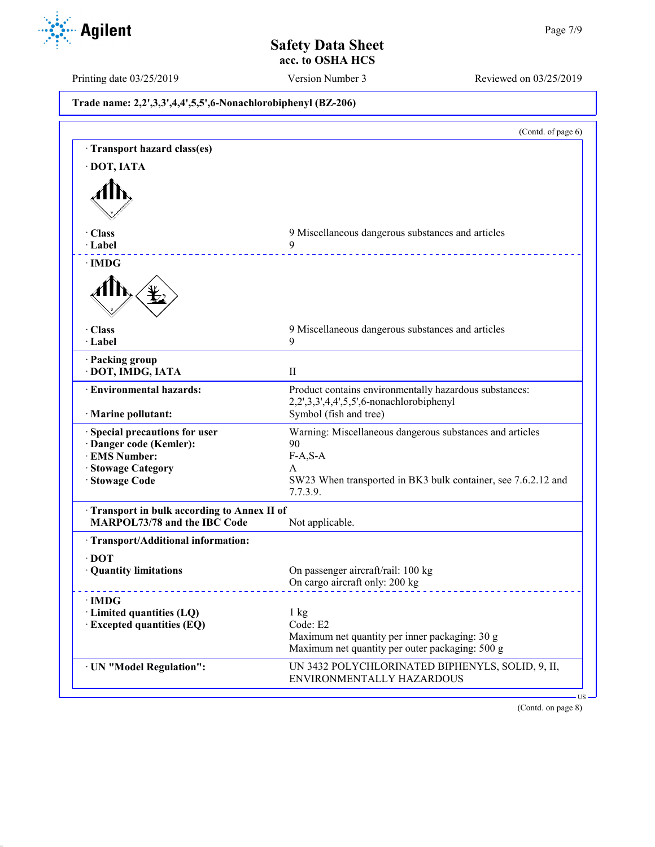

Printing date 03/25/2019 Version Number 3 Reviewed on 03/25/2019

**Trade name: 2,2',3,3',4,4',5,5',6-Nonachlorobiphenyl (BZ-206)** (Contd. of page 6) · **Transport hazard class(es)** · **DOT, IATA** · **Class** 9 Miscellaneous dangerous substances and articles · **Label** 9 · **IMDG** · **Class** 9 Miscellaneous dangerous substances and articles · **Label** 9 · **Packing group** · **DOT, IMDG, IATA** II · **Environmental hazards:** Product contains environmentally hazardous substances: 2,2',3,3',4,4',5,5',6-nonachlorobiphenyl · **Marine pollutant:** Symbol (fish and tree) · **Special precautions for user** Warning: Miscellaneous dangerous substances and articles · **Danger code (Kemler):** 90 **· EMS Number: · Stowage Category** A · **Stowage Code** SW23 When transported in BK3 bulk container, see 7.6.2.12 and 7.7.3.9. · **Transport in bulk according to Annex II of MARPOL73/78 and the IBC Code** Not applicable. · **Transport/Additional information:** · **DOT** On passenger aircraft/rail: 100 kg On cargo aircraft only: 200 kg · **IMDG Limited quantities (LQ)** 1 kg<br> **Excepted quantities (EQ)** Code: E2 **Excepted quantities (EQ)** Maximum net quantity per inner packaging: 30 g Maximum net quantity per outer packaging: 500 g · **UN "Model Regulation":** UN 3432 POLYCHLORINATED BIPHENYLS, SOLID, 9, II, ENVIRONMENTALLY HAZARDOUS

(Contd. on page 8)

US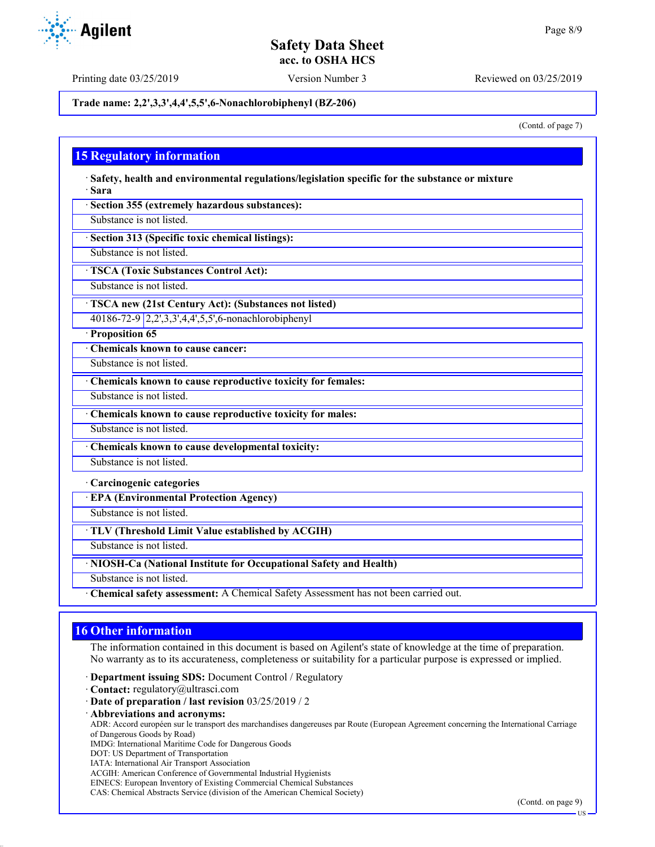Printing date 03/25/2019 Version Number 3 Reviewed on 03/25/2019

**Trade name: 2,2',3,3',4,4',5,5',6-Nonachlorobiphenyl (BZ-206)**

(Contd. of page 7)

# **15 Regulatory information**

· **Safety, health and environmental regulations/legislation specific for the substance or mixture** · **Sara**

· **Section 355 (extremely hazardous substances):**

Substance is not listed.

· **Section 313 (Specific toxic chemical listings):**

Substance is not listed.

· **TSCA (Toxic Substances Control Act):**

Substance is not listed.

· **TSCA new (21st Century Act): (Substances not listed)**

40186-72-9 2,2',3,3',4,4',5,5',6-nonachlorobiphenyl

· **Proposition 65**

· **Chemicals known to cause cancer:**

Substance is not listed.

· **Chemicals known to cause reproductive toxicity for females:**

Substance is not listed.

· **Chemicals known to cause reproductive toxicity for males:**

Substance is not listed.

· **Chemicals known to cause developmental toxicity:**

Substance is not listed.

· **Carcinogenic categories**

· **EPA (Environmental Protection Agency)**

Substance is not listed.

· **TLV (Threshold Limit Value established by ACGIH)**

Substance is not listed.

· **NIOSH-Ca (National Institute for Occupational Safety and Health)**

Substance is not listed.

· **Chemical safety assessment:** A Chemical Safety Assessment has not been carried out.

# **16 Other information**

The information contained in this document is based on Agilent's state of knowledge at the time of preparation. No warranty as to its accurateness, completeness or suitability for a particular purpose is expressed or implied.

· **Department issuing SDS:** Document Control / Regulatory

· **Contact:** regulatory@ultrasci.com

· **Date of preparation / last revision** 03/25/2019 / 2

· **Abbreviations and acronyms:**

ADR: Accord européen sur le transport des marchandises dangereuses par Route (European Agreement concerning the International Carriage of Dangerous Goods by Road)

IMDG: International Maritime Code for Dangerous Goods

- DOT: US Department of Transportation
- IATA: International Air Transport Association

ACGIH: American Conference of Governmental Industrial Hygienists

EINECS: European Inventory of Existing Commercial Chemical Substances

CAS: Chemical Abstracts Service (division of the American Chemical Society)